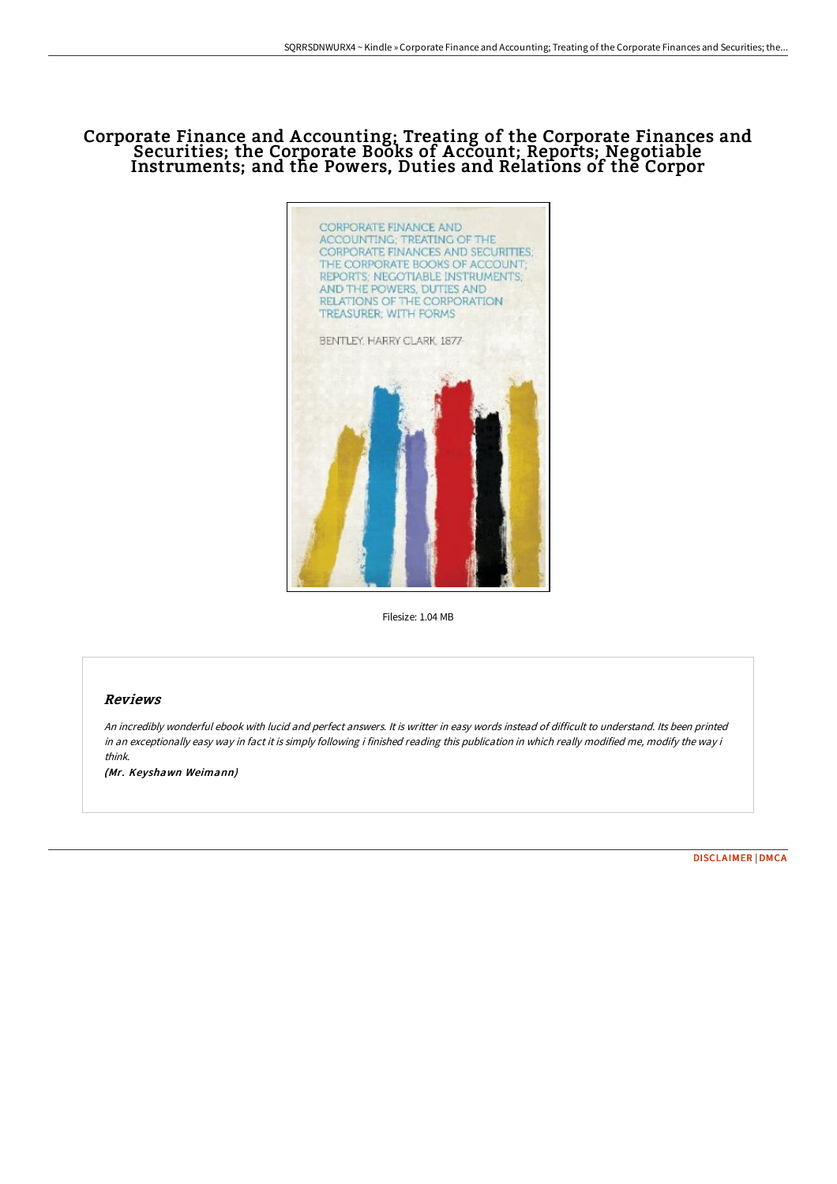## Corporate Finance and Accounting; Treating of the Corporate Finances and Securities; the Corporate Books of Account; Reports; Negotiable Instruments; and the Powers, Duties and Relations of the Corpor



Filesize: 1.04 MB

## Reviews

An incredibly wonderful ebook with lucid and perfect answers. It is writter in easy words instead of difficult to understand. Its been printed in an exceptionally easy way in fact it is simply following i finished reading this publication in which really modified me, modify the way i think.

(Mr. Keyshawn Weimann)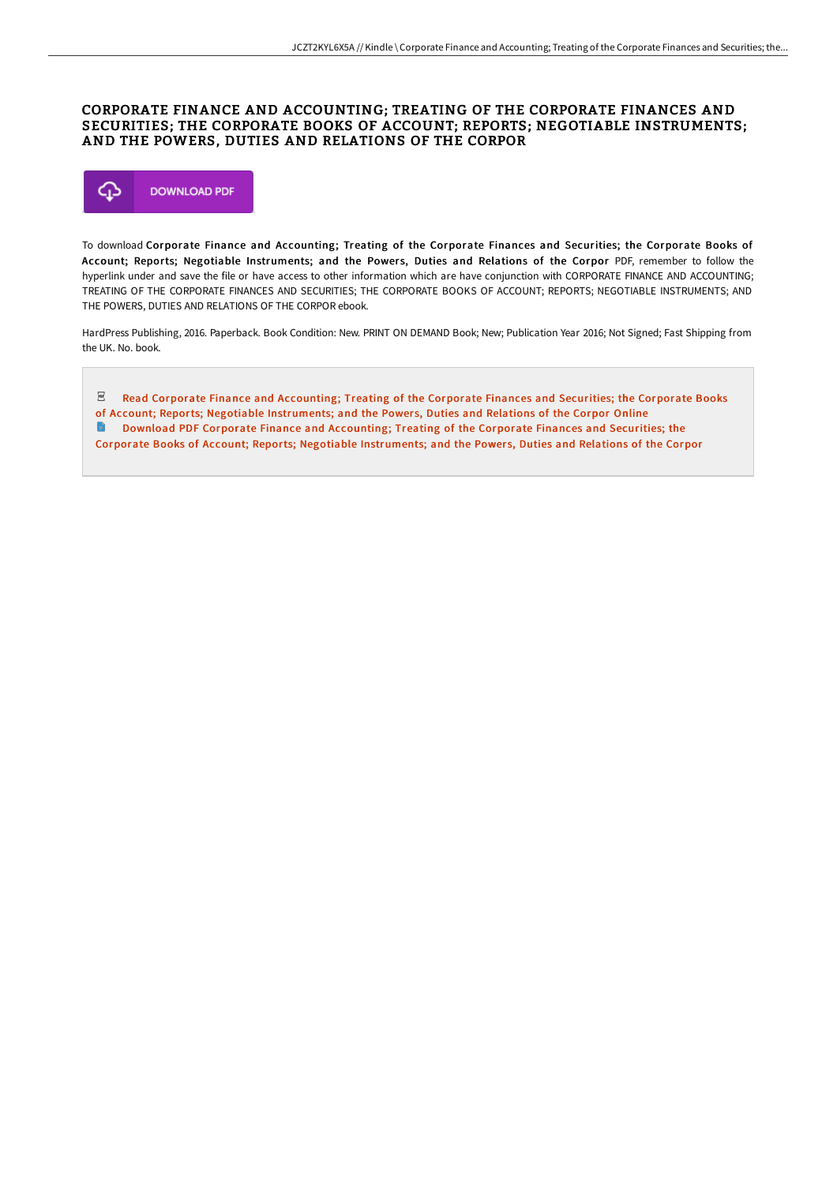## CORPORATE FINANCE AND ACCOUNTING; TREATING OF THE CORPORATE FINANCES AND SECURITIES; THE CORPORATE BOOKS OF ACCOUNT; REPORTS; NEGOTIABLE INSTRUMENTS; AND THE POWERS, DUTIES AND RELATIONS OF THE CORPOR



To download Corporate Finance and Accounting; Treating of the Corporate Finances and Securities; the Corporate Books of Account; Reports; Negotiable Instruments; and the Powers, Duties and Relations of the Corpor PDF, remember to follow the hyperlink under and save the file or have access to other information which are have conjunction with CORPORATE FINANCE AND ACCOUNTING; TREATING OF THE CORPORATE FINANCES AND SECURITIES; THE CORPORATE BOOKS OF ACCOUNT; REPORTS; NEGOTIABLE INSTRUMENTS; AND THE POWERS, DUTIES AND RELATIONS OF THE CORPOR ebook.

HardPress Publishing, 2016. Paperback. Book Condition: New. PRINT ON DEMAND Book; New; Publication Year 2016; Not Signed; Fast Shipping from the UK. No. book.

 $_{\rm per}$ Read Corporate Finance and [Accounting;](http://www.dailydocs.site/corporate-finance-and-accounting-treating-of-the-1.html) Treating of the Corporate Finances and Securities; the Corporate Books of Account; Reports; Negotiable Instruments; and the Powers, Duties and Relations of the Corpor Online **Download PDF Corporate Finance and Accounting; Treating of the Corporate Finances and Securities; the** Corporate Books of Account; Reports; Negotiable [Instruments;](http://www.dailydocs.site/corporate-finance-and-accounting-treating-of-the-1.html) and the Powers, Duties and Relations of the Corpor